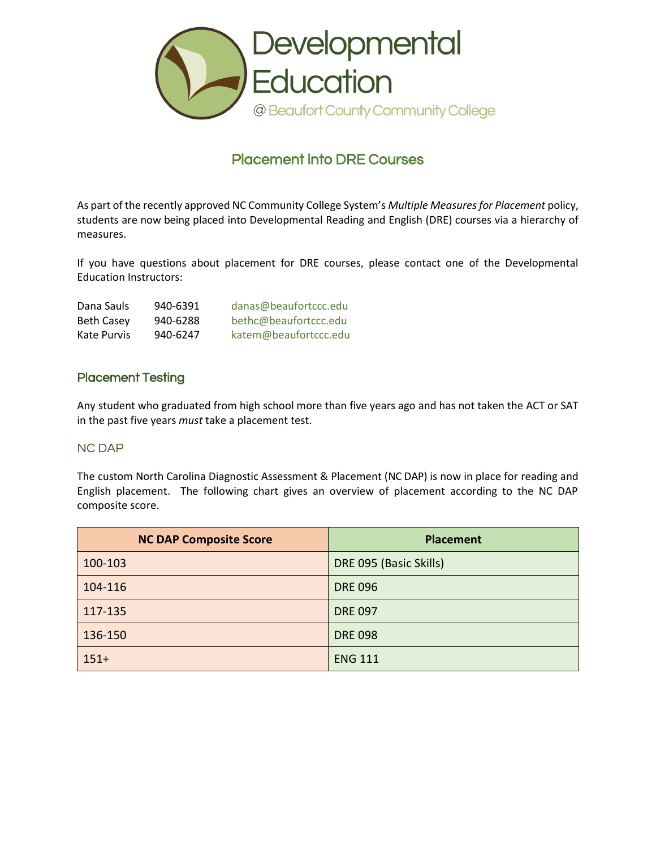

## Placement into DRE Courses

As part of the recently approved NC Community College System's *Multiple Measures for Placement* policy, students are now being placed into Developmental Reading and English (DRE) courses via a hierarchy of measures.

If you have questions about placement for DRE courses, please contact one of the Developmental Education Instructors:

| Dana Sauls        | 940-6391 | danas@beaufortccc.edu |
|-------------------|----------|-----------------------|
| <b>Beth Casey</b> | 940-6288 | bethc@beaufortccc.edu |
| Kate Purvis       | 940-6247 | katem@beaufortccc.edu |

#### Placement Testing

Any student who graduated from high school more than five years ago and has not taken the ACT or SAT in the past five years *must* take a placement test.

#### NC DAP

The custom North Carolina Diagnostic Assessment & Placement (NC DAP) is now in place for reading and English placement. The following chart gives an overview of placement according to the NC DAP composite score.

| <b>NC DAP Composite Score</b> | <b>Placement</b>       |
|-------------------------------|------------------------|
| 100-103                       | DRE 095 (Basic Skills) |
| 104-116                       | <b>DRE 096</b>         |
| 117-135                       | <b>DRE 097</b>         |
| 136-150                       | <b>DRE 098</b>         |
| $151+$                        | <b>ENG 111</b>         |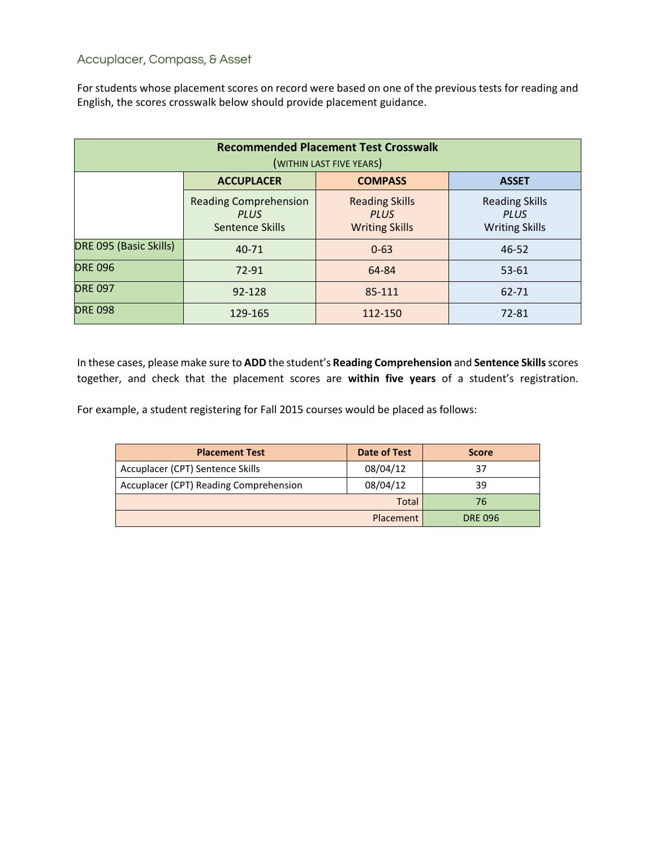#### Accuplacer, Compass, & Asset

For students whose placement scores on record were based on one of the previous tests for reading and English, the scores crosswalk below should provide placement guidance.

| <b>Recommended Placement Test Crosswalk</b><br>(WITHIN LAST FIVE YEARS) |                                                                |                                                               |                                                               |  |  |
|-------------------------------------------------------------------------|----------------------------------------------------------------|---------------------------------------------------------------|---------------------------------------------------------------|--|--|
| <b>ACCUPLACER</b><br><b>COMPASS</b><br><b>ASSET</b>                     |                                                                |                                                               |                                                               |  |  |
|                                                                         | <b>Reading Comprehension</b><br><b>PLUS</b><br>Sentence Skills | <b>Reading Skills</b><br><b>PLUS</b><br><b>Writing Skills</b> | <b>Reading Skills</b><br><b>PLUS</b><br><b>Writing Skills</b> |  |  |
| DRE 095 (Basic Skills)                                                  | $40 - 71$                                                      | $0 - 63$                                                      | 46-52                                                         |  |  |
| <b>DRE 096</b>                                                          | 72-91                                                          | 64-84                                                         | 53-61                                                         |  |  |
| <b>DRE 097</b>                                                          | 92-128                                                         | 85-111                                                        | 62-71                                                         |  |  |
| <b>DRE 098</b>                                                          | 129-165                                                        | 112-150                                                       | 72-81                                                         |  |  |

In these cases, please make sure to **ADD** the student's **Reading Comprehension** and **Sentence Skills**scores together, and check that the placement scores are **within five years** of a student's registration.

For example, a student registering for Fall 2015 courses would be placed as follows:

| <b>Placement Test</b>                  | <b>Date of Test</b> | <b>Score</b> |
|----------------------------------------|---------------------|--------------|
| Accuplacer (CPT) Sentence Skills       | 08/04/12            | 37           |
| Accuplacer (CPT) Reading Comprehension | 08/04/12            | 39           |
|                                        | 76                  |              |
|                                        | <b>DRE 096</b>      |              |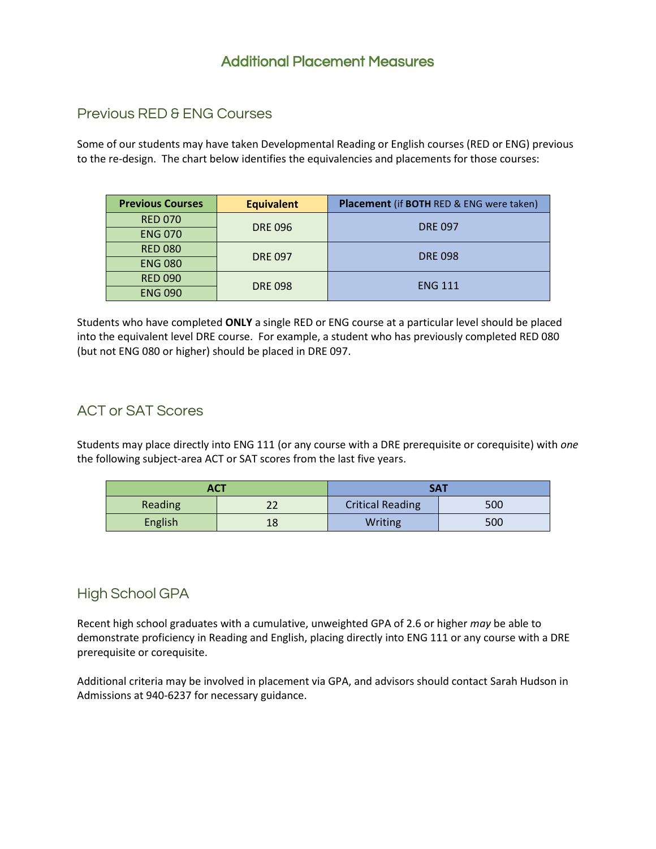## Additional Placement Measures

### Previous RED & ENG Courses

Some of our students may have taken Developmental Reading or English courses (RED or ENG) previous to the re-design. The chart below identifies the equivalencies and placements for those courses:

| <b>Previous Courses</b> | <b>Equivalent</b> | <b>Placement (if BOTH RED &amp; ENG were taken)</b> |  |
|-------------------------|-------------------|-----------------------------------------------------|--|
| <b>RED 070</b>          |                   | <b>DRE 097</b>                                      |  |
| <b>ENG 070</b>          | <b>DRE 096</b>    |                                                     |  |
| <b>RED 080</b>          | <b>DRE 097</b>    | <b>DRE 098</b>                                      |  |
| <b>ENG 080</b>          |                   |                                                     |  |
| <b>RED 090</b>          |                   | <b>ENG 111</b>                                      |  |
| <b>ENG 090</b>          | <b>DRE 098</b>    |                                                     |  |

Students who have completed **ONLY** a single RED or ENG course at a particular level should be placed into the equivalent level DRE course. For example, a student who has previously completed RED 080 (but not ENG 080 or higher) should be placed in DRE 097.

### ACT or SAT Scores

Students may place directly into ENG 111 (or any course with a DRE prerequisite or corequisite) with *one* the following subject-area ACT or SAT scores from the last five years.

| <b>ACT</b> |         | SA1                     |     |  |
|------------|---------|-------------------------|-----|--|
| Reading    | າາ<br>ᅩ | <b>Critical Reading</b> | 500 |  |
| English    | 18      | Writing                 | 500 |  |

## High School GPA

Recent high school graduates with a cumulative, unweighted GPA of 2.6 or higher *may* be able to demonstrate proficiency in Reading and English, placing directly into ENG 111 or any course with a DRE prerequisite or corequisite.

Additional criteria may be involved in placement via GPA, and advisors should contact Sarah Hudson in Admissions at 940-6237 for necessary guidance.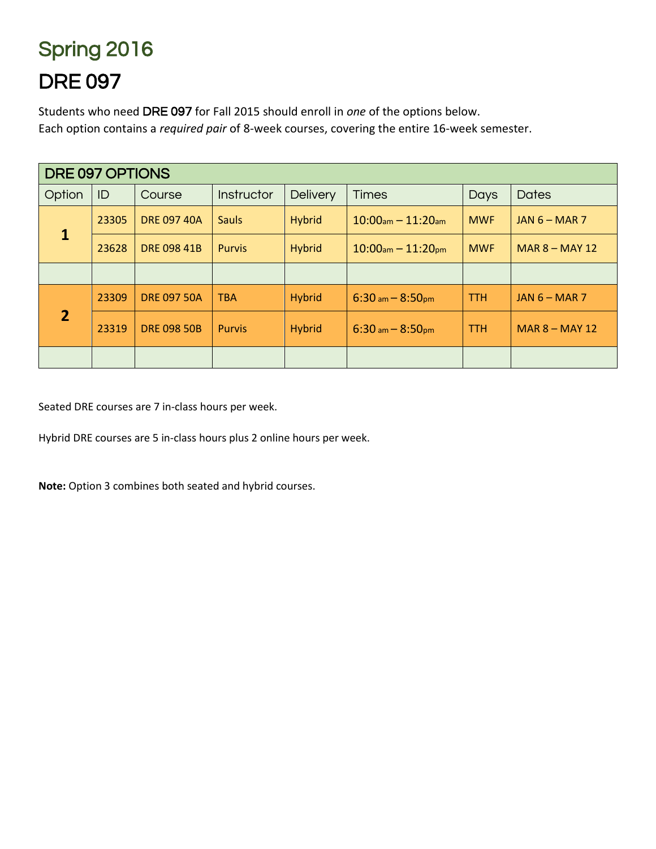# Spring 2016 DRE 097

Students who need DRE 097 for Fall 2015 should enroll in *one* of the options below. Each option contains a *required pair* of 8-week courses, covering the entire 16-week semester.

| DRE 097 OPTIONS |       |                    |               |                 |                         |             |                  |
|-----------------|-------|--------------------|---------------|-----------------|-------------------------|-------------|------------------|
| Option          | ID    | Course             | Instructor    | <b>Delivery</b> | <b>Times</b>            | <b>Days</b> | <b>Dates</b>     |
| $\mathbf{1}$    | 23305 | <b>DRE 097 40A</b> | <b>Sauls</b>  | <b>Hybrid</b>   | $10:00$ am $- 11:20$ am | <b>MWF</b>  | JAN $6$ – MAR 7  |
|                 | 23628 | <b>DRE 098 41B</b> | <b>Purvis</b> | <b>Hybrid</b>   | $10:00$ am $- 11:20$ pm | <b>MWF</b>  | $MAR 8 - MAY 12$ |
|                 |       |                    |               |                 |                         |             |                  |
|                 | 23309 | <b>DRE 097 50A</b> | <b>TBA</b>    | <b>Hybrid</b>   | $6:30$ am $- 8:50$ pm   | <b>TTH</b>  | JAN $6$ – MAR 7  |
| $\overline{2}$  | 23319 | <b>DRE 098 50B</b> | <b>Purvis</b> | <b>Hybrid</b>   | $6:30$ am $- 8:50$ pm   | <b>TTH</b>  | $MAR 8 - MAY 12$ |
|                 |       |                    |               |                 |                         |             |                  |

Seated DRE courses are 7 in-class hours per week.

Hybrid DRE courses are 5 in-class hours plus 2 online hours per week.

**Note:** Option 3 combines both seated and hybrid courses.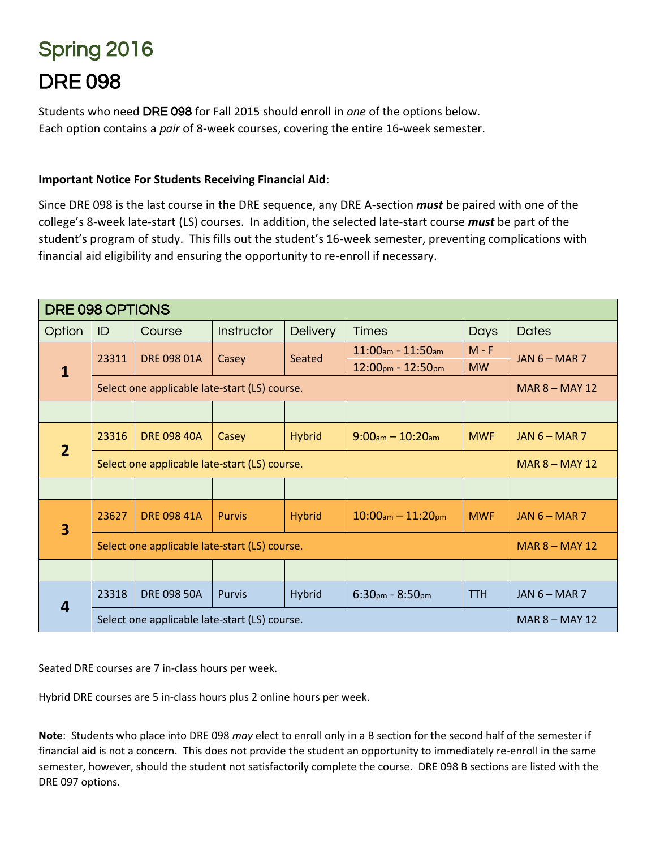# Spring 2016 DRE 098

Students who need DRE 098 for Fall 2015 should enroll in *one* of the options below. Each option contains a *pair* of 8-week courses, covering the entire 16-week semester.

#### **Important Notice For Students Receiving Financial Aid**:

Since DRE 098 is the last course in the DRE sequence, any DRE A-section *must* be paired with one of the college's 8-week late-start (LS) courses. In addition, the selected late-start course *must* be part of the student's program of study. This fills out the student's 16-week semester, preventing complications with financial aid eligibility and ensuring the opportunity to re-enroll if necessary.

| DRE 098 OPTIONS                               |                                               |                                               |               |                 |                         |                  |                  |
|-----------------------------------------------|-----------------------------------------------|-----------------------------------------------|---------------|-----------------|-------------------------|------------------|------------------|
| Option                                        | ID                                            | Course                                        | Instructor    | <b>Delivery</b> | <b>Times</b>            | Days             | <b>Dates</b>     |
|                                               | 23311                                         | DRE 098 01A                                   | Casey         | Seated          | $11:00$ am - $11:50$ am | $M - F$          | JAN $6 - MAR$ 7  |
| $\mathbf{1}$                                  |                                               |                                               |               |                 | $12:00$ pm - $12:50$ pm | <b>MW</b>        |                  |
|                                               |                                               | Select one applicable late-start (LS) course. |               |                 |                         |                  | MAR $8 -$ MAY 12 |
|                                               |                                               |                                               |               |                 |                         |                  |                  |
| $\overline{2}$                                | 23316                                         | <b>DRE 098 40A</b>                            | Casey         | <b>Hybrid</b>   | $9:00am - 10:20am$      | <b>MWF</b>       | JAN $6$ – MAR 7  |
|                                               | Select one applicable late-start (LS) course. |                                               |               |                 |                         | $MAR 8 - MAY 12$ |                  |
|                                               |                                               |                                               |               |                 |                         |                  |                  |
| $\overline{\mathbf{3}}$                       | 23627                                         | <b>DRE 098 41A</b>                            | <b>Purvis</b> | <b>Hybrid</b>   | $10:00$ am $- 11:20$ pm | <b>MWF</b>       | $JAN 6 - MAR 7$  |
|                                               | Select one applicable late-start (LS) course. |                                               |               |                 |                         | $MAR 8 - MAY 12$ |                  |
|                                               |                                               |                                               |               |                 |                         |                  |                  |
| 4                                             | 23318                                         | <b>DRE 098 50A</b>                            | <b>Purvis</b> | <b>Hybrid</b>   | $6:30pm - 8:50pm$       | <b>TTH</b>       | JAN $6$ – MAR 7  |
| Select one applicable late-start (LS) course. |                                               |                                               |               |                 | <b>MAR 8 - MAY 12</b>   |                  |                  |

Seated DRE courses are 7 in-class hours per week.

Hybrid DRE courses are 5 in-class hours plus 2 online hours per week.

**Note**: Students who place into DRE 098 *may* elect to enroll only in a B section for the second half of the semester if financial aid is not a concern. This does not provide the student an opportunity to immediately re-enroll in the same semester, however, should the student not satisfactorily complete the course. DRE 098 B sections are listed with the DRE 097 options.